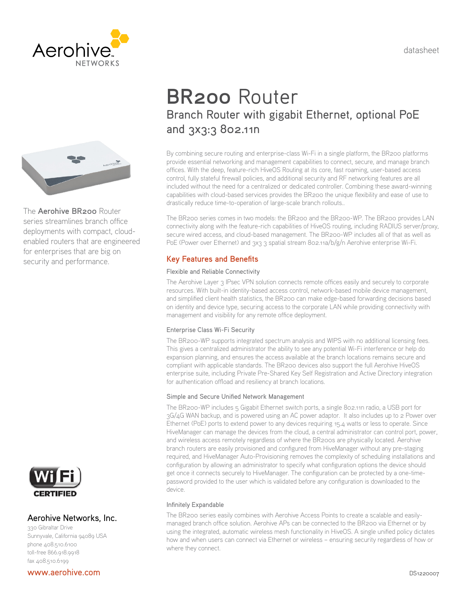datasheet





The **Aerohive BR200** Router series streamlines branch office deployments with compact, cloudenabled routers that are engineered for enterprises that are big on security and performance.



## Aerohive Networks, Inc.

330 Gibraltar Drive Sunnyvale, California 94089 USA phone 408.510.6100 toll-free 866.918.9918 fax 408.510.6199

#### [www.aerohive.com](http://www.aerohive.com/)

# **BR200** Router Branch Router with gigabit Ethernet, optional PoE and 3x3:3 802.11n

By combining secure routing and enterprise-class Wi-Fi in a single platform, the BR200 platforms provide essential networking and management capabilities to connect, secure, and manage branch offices. With the deep, feature-rich HiveOS Routing at its core, fast roaming, user-based access control, fully stateful firewall policies, and additional security and RF networking features are all included without the need for a centralized or dedicated controller. Combining these award-winning capabilities with cloud-based services provides the BR200 the unique flexibility and ease of use to drastically reduce time-to-operation of large-scale branch rollouts..

The BR200 series comes in two models: the BR200 and the BR200-WP. The BR200 provides LAN connectivity along with the feature-rich capabilities of HiveOS routing, including RADIUS server/proxy, secure wired access, and cloud-based management. The BR200-WP includes all of that as well as PoE (Power over Ethernet) and 3x3 3 spatial stream 802.11a/b/g/n Aerohive enterprise Wi-Fi.

# **Key Features and Benefits**

#### Flexible and Reliable Connectivity

The Aerohive Layer 3 IPsec VPN solution connects remote offices easily and securely to corporate resources. With built-in identity-based access control, network-based mobile device management, and simplified client health statistics, the BR200 can make edge-based forwarding decisions based on identity and device type, securing access to the corporate LAN while providing connectivity with management and visibility for any remote office deployment.

#### Enterprise Class Wi-Fi Security

The BR200-WP supports integrated spectrum analysis and WIPS with no additional licensing fees. This gives a centralized administrator the ability to see any potential Wi-Fi interference or help do expansion planning, and ensures the access available at the branch locations remains secure and compliant with applicable standards. The BR200 devices also support the full Aerohive HiveOS enterprise suite, including Private Pre-Shared Key Self Registration and Active Directory integration for authentication offload and resiliency at branch locations.

#### Simple and Secure Unified Network Management

The BR200-WP includes 5 Gigabit Ethernet switch ports, a single 802.11n radio, a USB port for 3G/4G WAN backup, and is powered using an AC power adaptor. It also includes up to 2 Power over Ethernet (PoE) ports to extend power to any devices requiring 15.4 watts or less to operate. Since HiveManager can manage the devices from the cloud, a central administrator can control port, power, and wireless access remotely regardless of where the BR200s are physically located. Aerohive branch routers are easily provisioned and configured from HiveManager without any pre-staging required, and HiveManager Auto-Provisioning removes the complexity of scheduling installations and configuration by allowing an administrator to specify what configuration options the device should get once it connects securely to HiveManager. The configuration can be protected by a one-timepassword provided to the user which is validated before any configuration is downloaded to the device.

#### Infinitely Expandable

The BR200 series easily combines with Aerohive Access Points to create a scalable and easilymanaged branch office solution. Aerohive APs can be connected to the BR200 via Ethernet or by using the integrated, automatic wireless mesh functionality in HiveOS. A single unified policy dictates how and when users can connect via Ethernet or wireless – ensuring security regardless of how or where they connect.